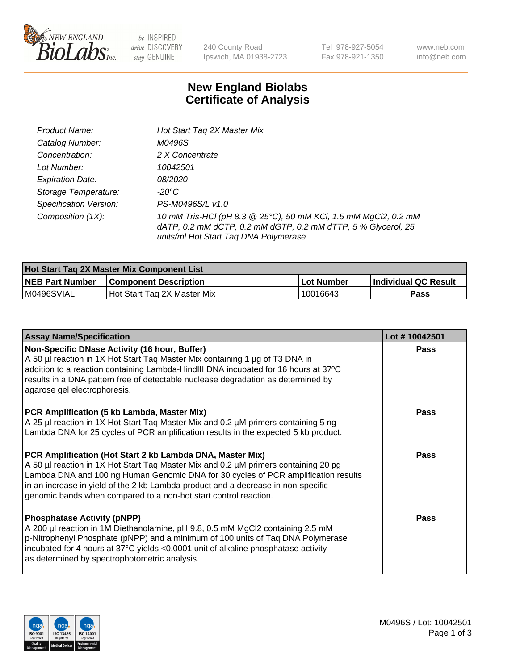

be INSPIRED drive DISCOVERY stay GENUINE

240 County Road Ipswich, MA 01938-2723 Tel 978-927-5054 Fax 978-921-1350 www.neb.com info@neb.com

## **New England Biolabs Certificate of Analysis**

| Product Name:                 | Hot Start Tag 2X Master Mix                                                                                                                                               |
|-------------------------------|---------------------------------------------------------------------------------------------------------------------------------------------------------------------------|
| Catalog Number:               | M0496S                                                                                                                                                                    |
| Concentration:                | 2 X Concentrate                                                                                                                                                           |
| Lot Number:                   | 10042501                                                                                                                                                                  |
| <b>Expiration Date:</b>       | <i>08/2020</i>                                                                                                                                                            |
| Storage Temperature:          | -20°C                                                                                                                                                                     |
| <b>Specification Version:</b> | PS-M0496S/L v1.0                                                                                                                                                          |
| Composition (1X):             | 10 mM Tris-HCl (pH 8.3 @ 25°C), 50 mM KCl, 1.5 mM MgCl2, 0.2 mM<br>dATP, 0.2 mM dCTP, 0.2 mM dGTP, 0.2 mM dTTP, 5 % Glycerol, 25<br>units/ml Hot Start Taq DNA Polymerase |

| <b>Hot Start Tag 2X Master Mix Component List</b> |                               |            |                      |  |  |
|---------------------------------------------------|-------------------------------|------------|----------------------|--|--|
| <b>NEB Part Number</b>                            | <b>Component Description</b>  | Lot Number | Individual QC Result |  |  |
| M0496SVIAL                                        | l Hot Start Tag 2X Master Mix | 10016643   | Pass                 |  |  |

| <b>Assay Name/Specification</b>                                                                                                                                                                                                                                                                                                                                                                 | Lot #10042501 |
|-------------------------------------------------------------------------------------------------------------------------------------------------------------------------------------------------------------------------------------------------------------------------------------------------------------------------------------------------------------------------------------------------|---------------|
| Non-Specific DNase Activity (16 hour, Buffer)<br>A 50 µl reaction in 1X Hot Start Taq Master Mix containing 1 µg of T3 DNA in<br>addition to a reaction containing Lambda-HindIII DNA incubated for 16 hours at 37°C<br>results in a DNA pattern free of detectable nuclease degradation as determined by<br>agarose gel electrophoresis.                                                       | <b>Pass</b>   |
| PCR Amplification (5 kb Lambda, Master Mix)<br>A 25 µl reaction in 1X Hot Start Taq Master Mix and 0.2 µM primers containing 5 ng<br>Lambda DNA for 25 cycles of PCR amplification results in the expected 5 kb product.                                                                                                                                                                        | <b>Pass</b>   |
| PCR Amplification (Hot Start 2 kb Lambda DNA, Master Mix)<br>A 50 µl reaction in 1X Hot Start Taq Master Mix and 0.2 µM primers containing 20 pg<br>Lambda DNA and 100 ng Human Genomic DNA for 30 cycles of PCR amplification results<br>in an increase in yield of the 2 kb Lambda product and a decrease in non-specific<br>genomic bands when compared to a non-hot start control reaction. | <b>Pass</b>   |
| <b>Phosphatase Activity (pNPP)</b><br>A 200 µl reaction in 1M Diethanolamine, pH 9.8, 0.5 mM MgCl2 containing 2.5 mM<br>p-Nitrophenyl Phosphate (pNPP) and a minimum of 100 units of Taq DNA Polymerase<br>incubated for 4 hours at 37°C yields <0.0001 unit of alkaline phosphatase activity<br>as determined by spectrophotometric analysis.                                                  | <b>Pass</b>   |

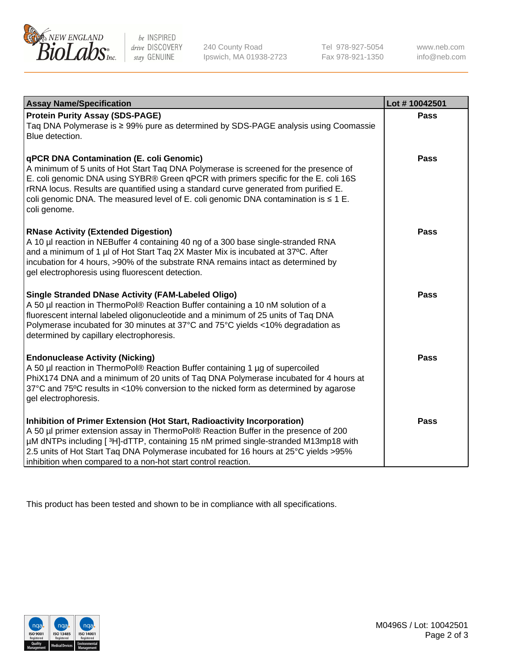

 $be$  INSPIRED drive DISCOVERY stay GENUINE

240 County Road Ipswich, MA 01938-2723 Tel 978-927-5054 Fax 978-921-1350 www.neb.com info@neb.com

| <b>Assay Name/Specification</b>                                                                                                                                                                                                                                                                                                                                                                                              | Lot #10042501 |
|------------------------------------------------------------------------------------------------------------------------------------------------------------------------------------------------------------------------------------------------------------------------------------------------------------------------------------------------------------------------------------------------------------------------------|---------------|
| <b>Protein Purity Assay (SDS-PAGE)</b><br>Taq DNA Polymerase is ≥ 99% pure as determined by SDS-PAGE analysis using Coomassie<br>Blue detection.                                                                                                                                                                                                                                                                             | <b>Pass</b>   |
| qPCR DNA Contamination (E. coli Genomic)<br>A minimum of 5 units of Hot Start Taq DNA Polymerase is screened for the presence of<br>E. coli genomic DNA using SYBR® Green qPCR with primers specific for the E. coli 16S<br>rRNA locus. Results are quantified using a standard curve generated from purified E.<br>coli genomic DNA. The measured level of E. coli genomic DNA contamination is $\leq 1$ E.<br>coli genome. | <b>Pass</b>   |
| <b>RNase Activity (Extended Digestion)</b><br>A 10 µl reaction in NEBuffer 4 containing 40 ng of a 300 base single-stranded RNA<br>and a minimum of 1 µl of Hot Start Taq 2X Master Mix is incubated at 37°C. After<br>incubation for 4 hours, >90% of the substrate RNA remains intact as determined by<br>gel electrophoresis using fluorescent detection.                                                                 | <b>Pass</b>   |
| <b>Single Stranded DNase Activity (FAM-Labeled Oligo)</b><br>A 50 µl reaction in ThermoPol® Reaction Buffer containing a 10 nM solution of a<br>fluorescent internal labeled oligonucleotide and a minimum of 25 units of Taq DNA<br>Polymerase incubated for 30 minutes at 37°C and 75°C yields <10% degradation as<br>determined by capillary electrophoresis.                                                             | <b>Pass</b>   |
| <b>Endonuclease Activity (Nicking)</b><br>A 50 µl reaction in ThermoPol® Reaction Buffer containing 1 µg of supercoiled<br>PhiX174 DNA and a minimum of 20 units of Taq DNA Polymerase incubated for 4 hours at<br>37°C and 75°C results in <10% conversion to the nicked form as determined by agarose<br>gel electrophoresis.                                                                                              | Pass          |
| Inhibition of Primer Extension (Hot Start, Radioactivity Incorporation)<br>A 50 µl primer extension assay in ThermoPol® Reaction Buffer in the presence of 200<br>µM dNTPs including [3H]-dTTP, containing 15 nM primed single-stranded M13mp18 with<br>2.5 units of Hot Start Taq DNA Polymerase incubated for 16 hours at 25°C yields > 95%<br>inhibition when compared to a non-hot start control reaction.               | <b>Pass</b>   |

This product has been tested and shown to be in compliance with all specifications.